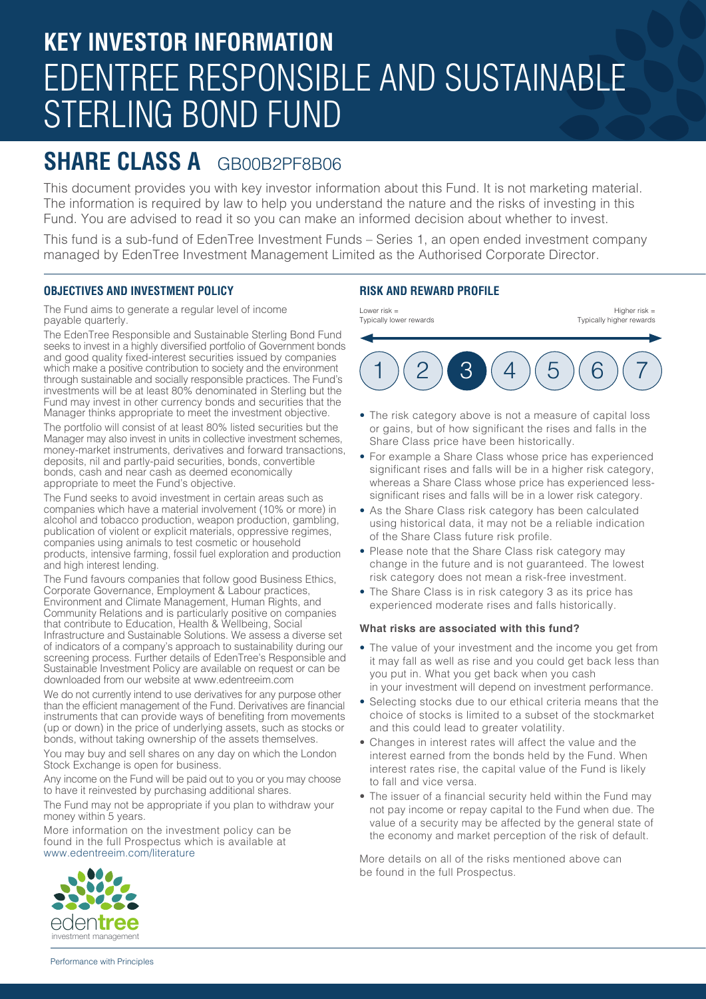# **KEY INVESTOR INFORMATION** EDENTREE RESPONSIBLE AND SUSTAINABLE STERLING BOND FUND

# **SHARE CLASS A** GB00B2PF8B06

This document provides you with key investor information about this Fund. It is not marketing material. The information is required by law to help you understand the nature and the risks of investing in this Fund. You are advised to read it so you can make an informed decision about whether to invest.

This fund is a sub-fund of EdenTree Investment Funds – Series 1, an open ended investment company managed by EdenTree Investment Management Limited as the Authorised Corporate Director.

## **OBJECTIVES AND INVESTMENT POLICY**

The Fund aims to generate a regular level of income payable quarterly.

The EdenTree Responsible and Sustainable Sterling Bond Fund seeks to invest in a highly diversified portfolio of Government bonds and good quality fixed-interest securities issued by companies which make a positive contribution to society and the environment through sustainable and socially responsible practices. The Fund's investments will be at least 80% denominated in Sterling but the Fund may invest in other currency bonds and securities that the Manager thinks appropriate to meet the investment objective.

The portfolio will consist of at least 80% listed securities but the Manager may also invest in units in collective investment schemes, money-market instruments, derivatives and forward transactions, deposits, nil and partly-paid securities, bonds, convertible bonds, cash and near cash as deemed economically appropriate to meet the Fund's objective.

The Fund seeks to avoid investment in certain areas such as companies which have a material involvement (10% or more) in alcohol and tobacco production, weapon production, gambling, publication of violent or explicit materials, oppressive regimes, companies using animals to test cosmetic or household products, intensive farming, fossil fuel exploration and production and high interest lending.

The Fund favours companies that follow good Business Ethics, Corporate Governance, Employment & Labour practices, Environment and Climate Management, Human Rights, and Community Relations and is particularly positive on companies that contribute to Education, Health & Wellbeing, Social Infrastructure and Sustainable Solutions. We assess a diverse set of indicators of a company's approach to sustainability during our screening process. Further details of EdenTree's Responsible and Sustainable Investment Policy are available on request or can be downloaded from our website at www.edentreeim.com

We do not currently intend to use derivatives for any purpose other than the efficient management of the Fund. Derivatives are financial instruments that can provide ways of benefiting from movements (up or down) in the price of underlying assets, such as stocks or bonds, without taking ownership of the assets themselves.

You may buy and sell shares on any day on which the London Stock Exchange is open for business.

Any income on the Fund will be paid out to you or you may choose to have it reinvested by purchasing additional shares.

The Fund may not be appropriate if you plan to withdraw your money within 5 years.

More information on the investment policy can be found in the full Prospectus which is available at www.edentreeim.com/literature

### **RISK AND REWARD PROFILE**



- The risk category above is not a measure of capital loss or gains, but of how significant the rises and falls in the Share Class price have been historically.
- For example a Share Class whose price has experienced significant rises and falls will be in a higher risk category, whereas a Share Class whose price has experienced lesssignificant rises and falls will be in a lower risk category.
- As the Share Class risk category has been calculated using historical data, it may not be a reliable indication of the Share Class future risk profile.
- Please note that the Share Class risk category may change in the future and is not guaranteed. The lowest risk category does not mean a risk-free investment.
- The Share Class is in risk category 3 as its price has experienced moderate rises and falls historically.

#### **What risks are associated with this fund?**

- The value of your investment and the income you get from it may fall as well as rise and you could get back less than you put in. What you get back when you cash in your investment will depend on investment performance.
- Selecting stocks due to our ethical criteria means that the choice of stocks is limited to a subset of the stockmarket and this could lead to greater volatility.
- Changes in interest rates will affect the value and the interest earned from the bonds held by the Fund. When interest rates rise, the capital value of the Fund is likely to fall and vice versa.
- The issuer of a financial security held within the Fund may not pay income or repay capital to the Fund when due. The value of a security may be affected by the general state of the economy and market perception of the risk of default.

More details on all of the risks mentioned above can be found in the full Prospectus.